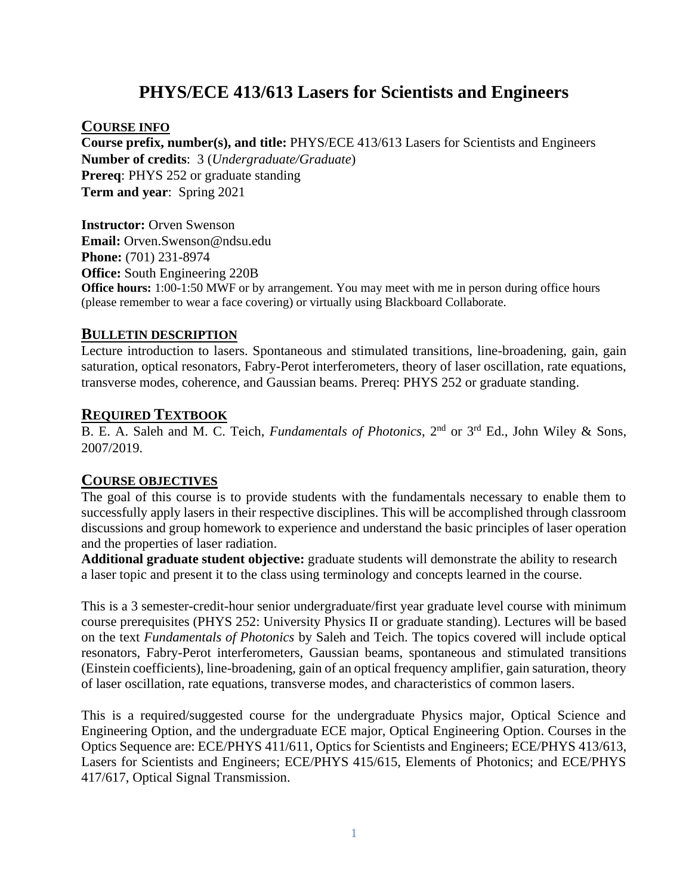# **PHYS/ECE 413/613 Lasers for Scientists and Engineers**

#### **COURSE INFO**

**Course prefix, number(s), and title:** PHYS/ECE 413/613 Lasers for Scientists and Engineers **Number of credits**: 3 (*Undergraduate/Graduate*) **Prereq**: PHYS 252 or graduate standing **Term and year**: Spring 2021

**Instructor:** Orven Swenson **Email:** Orven.Swenson@ndsu.edu **Phone:** (701) 231-8974 **Office:** South Engineering 220B **Office hours:** 1:00-1:50 MWF or by arrangement. You may meet with me in person during office hours (please remember to wear a face covering) or virtually using Blackboard Collaborate.

#### **BULLETIN DESCRIPTION**

Lecture introduction to lasers. Spontaneous and stimulated transitions, line-broadening, gain, gain saturation, optical resonators, Fabry-Perot interferometers, theory of laser oscillation, rate equations, transverse modes, coherence, and Gaussian beams. Prereq: PHYS 252 or graduate standing.

#### **REQUIRED TEXTBOOK**

B. E. A. Saleh and M. C. Teich, *Fundamentals of Photonics*, 2nd or 3rd Ed., John Wiley & Sons, 2007/2019.

#### **COURSE OBJECTIVES**

The goal of this course is to provide students with the fundamentals necessary to enable them to successfully apply lasers in their respective disciplines. This will be accomplished through classroom discussions and group homework to experience and understand the basic principles of laser operation and the properties of laser radiation.

**Additional graduate student objective:** graduate students will demonstrate the ability to research a laser topic and present it to the class using terminology and concepts learned in the course.

This is a 3 semester-credit-hour senior undergraduate/first year graduate level course with minimum course prerequisites (PHYS 252: University Physics II or graduate standing). Lectures will be based on the text *Fundamentals of Photonics* by Saleh and Teich. The topics covered will include optical resonators, Fabry-Perot interferometers, Gaussian beams, spontaneous and stimulated transitions (Einstein coefficients), line-broadening, gain of an optical frequency amplifier, gain saturation, theory of laser oscillation, rate equations, transverse modes, and characteristics of common lasers.

This is a required/suggested course for the undergraduate Physics major, Optical Science and Engineering Option, and the undergraduate ECE major, Optical Engineering Option. Courses in the Optics Sequence are: ECE/PHYS 411/611, Optics for Scientists and Engineers; ECE/PHYS 413/613, Lasers for Scientists and Engineers; ECE/PHYS 415/615, Elements of Photonics; and ECE/PHYS 417/617, Optical Signal Transmission.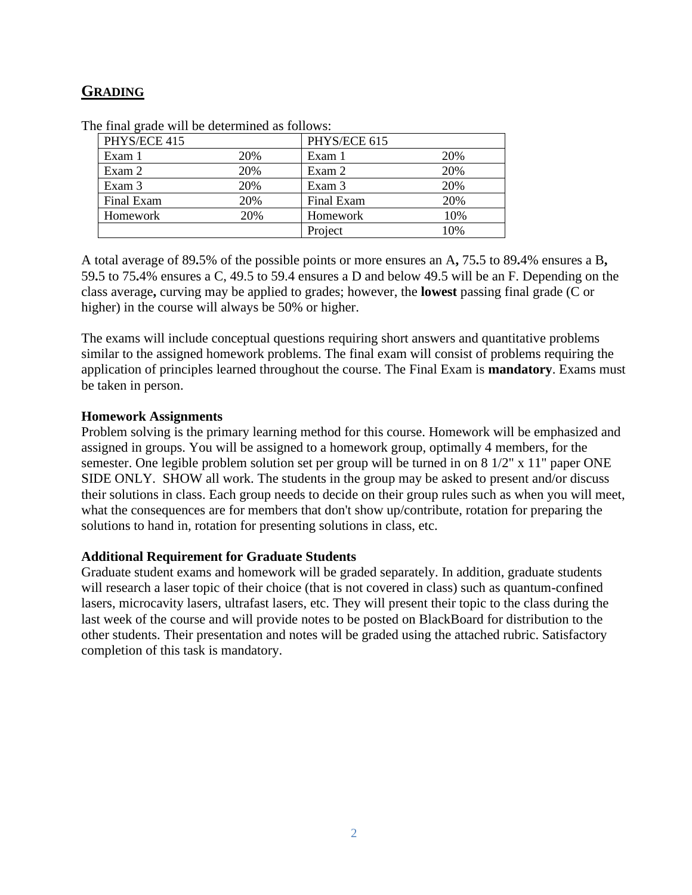## **GRADING**

| PHYS/ECE 415 |     | PHYS/ECE 615 |     |
|--------------|-----|--------------|-----|
| Exam 1       | 20% | Exam 1       | 20% |
| Exam 2       | 20% | Exam 2       | 20% |
| Exam 3       | 20% | Exam 3       | 20% |
| Final Exam   | 20% | Final Exam   | 20% |
| Homework     | 20% | Homework     | 10% |
|              |     | Project      | 10% |

The final grade will be determined as follows:

A total average of 89**.**5% of the possible points or more ensures an A**,** 75**.**5 to 89**.**4% ensures a B**,**  59**.**5 to 75**.**4% ensures a C, 49.5 to 59.4 ensures a D and below 49.5 will be an F. Depending on the class average**,** curving may be applied to grades; however, the **lowest** passing final grade (C or higher) in the course will always be 50% or higher.

The exams will include conceptual questions requiring short answers and quantitative problems similar to the assigned homework problems. The final exam will consist of problems requiring the application of principles learned throughout the course. The Final Exam is **mandatory**. Exams must be taken in person.

#### **Homework Assignments**

Problem solving is the primary learning method for this course. Homework will be emphasized and assigned in groups. You will be assigned to a homework group, optimally 4 members, for the semester. One legible problem solution set per group will be turned in on 8 1/2" x 11" paper ONE SIDE ONLY. SHOW all work. The students in the group may be asked to present and/or discuss their solutions in class. Each group needs to decide on their group rules such as when you will meet, what the consequences are for members that don't show up/contribute, rotation for preparing the solutions to hand in, rotation for presenting solutions in class, etc.

#### **Additional Requirement for Graduate Students**

Graduate student exams and homework will be graded separately. In addition, graduate students will research a laser topic of their choice (that is not covered in class) such as quantum-confined lasers, microcavity lasers, ultrafast lasers, etc. They will present their topic to the class during the last week of the course and will provide notes to be posted on BlackBoard for distribution to the other students. Their presentation and notes will be graded using the attached rubric. Satisfactory completion of this task is mandatory.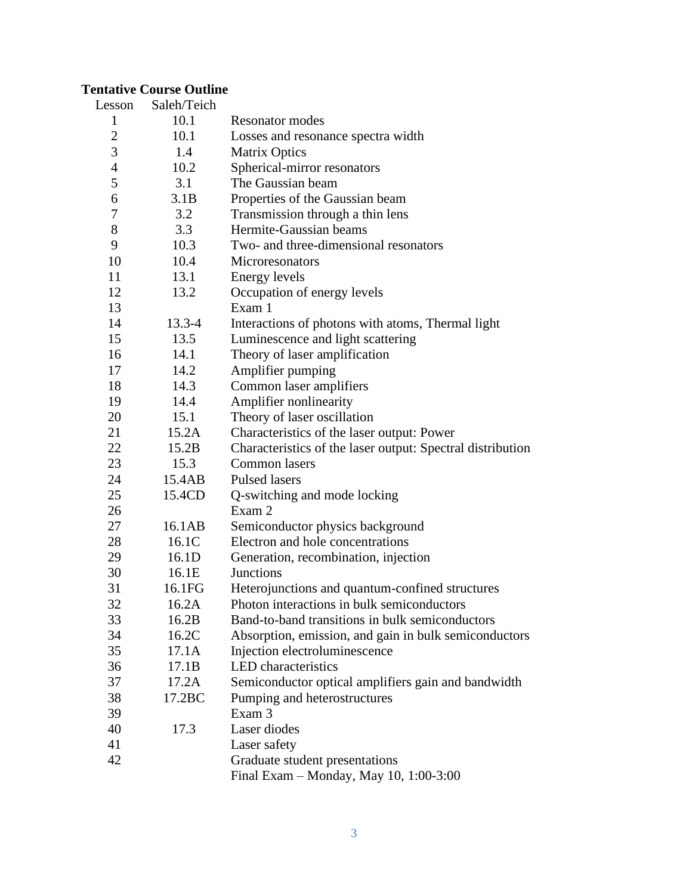## **Tentative Course Outline**

| Lesson         | Saleh/Teich |                                                            |
|----------------|-------------|------------------------------------------------------------|
| $\mathbf{1}$   | 10.1        | <b>Resonator modes</b>                                     |
| 2              | 10.1        | Losses and resonance spectra width                         |
| 3              | 1.4         | <b>Matrix Optics</b>                                       |
| $\overline{4}$ | 10.2        | Spherical-mirror resonators                                |
| 5              | 3.1         | The Gaussian beam                                          |
| 6              | 3.1B        | Properties of the Gaussian beam                            |
| 7              | 3.2         | Transmission through a thin lens                           |
| 8              | 3.3         | Hermite-Gaussian beams                                     |
| 9              | 10.3        | Two- and three-dimensional resonators                      |
| 10             | 10.4        | Microresonators                                            |
| 11             | 13.1        | <b>Energy levels</b>                                       |
| 12             | 13.2        | Occupation of energy levels                                |
| 13             |             | Exam 1                                                     |
| 14             | $13.3 - 4$  | Interactions of photons with atoms, Thermal light          |
| 15             | 13.5        | Luminescence and light scattering                          |
| 16             | 14.1        | Theory of laser amplification                              |
| 17             | 14.2        | Amplifier pumping                                          |
| 18             | 14.3        | Common laser amplifiers                                    |
| 19             | 14.4        | Amplifier nonlinearity                                     |
| 20             | 15.1        | Theory of laser oscillation                                |
| 21             | 15.2A       | Characteristics of the laser output: Power                 |
| 22             | 15.2B       | Characteristics of the laser output: Spectral distribution |
| 23             | 15.3        | Common lasers                                              |
| 24             | 15.4AB      | <b>Pulsed lasers</b>                                       |
| 25             | 15.4CD      | Q-switching and mode locking                               |
| 26             |             | Exam 2                                                     |
| 27             | 16.1AB      | Semiconductor physics background                           |
| 28             | 16.1C       | Electron and hole concentrations                           |
| 29             | 16.1D       | Generation, recombination, injection                       |
| 30             | 16.1E       | <b>Junctions</b>                                           |
| 31             | 16.1FG      | Heterojunctions and quantum-confined structures            |
| 32             | 16.2A       | Photon interactions in bulk semiconductors                 |
| 33             | 16.2B       | Band-to-band transitions in bulk semiconductors            |
| 34             | 16.2C       | Absorption, emission, and gain in bulk semiconductors      |
| 35             | 17.1A       | Injection electroluminescence                              |
| 36             | 17.1B       | <b>LED</b> characteristics                                 |
| 37             | 17.2A       | Semiconductor optical amplifiers gain and bandwidth        |
| 38             | 17.2BC      | Pumping and heterostructures                               |
| 39             |             | Exam 3                                                     |
| 40             | 17.3        | Laser diodes                                               |
| 41             |             | Laser safety                                               |
| 42             |             | Graduate student presentations                             |
|                |             | Final Exam - Monday, May 10, 1:00-3:00                     |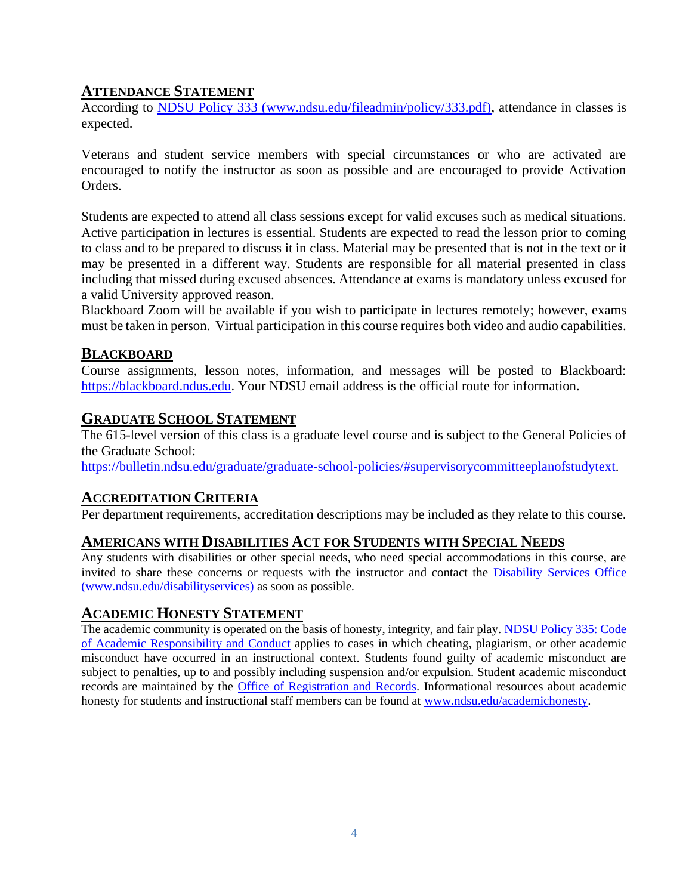### **ATTENDANCE STATEMENT**

According to [NDSU Policy 333 \(www.ndsu.edu/fileadmin/policy/333.pdf\),](http://www.ndsu.edu/fileadmin/policy/333.pdf) attendance in classes is expected.

Veterans and student service members with special circumstances or who are activated are encouraged to notify the instructor as soon as possible and are encouraged to provide Activation Orders.

Students are expected to attend all class sessions except for valid excuses such as medical situations. Active participation in lectures is essential. Students are expected to read the lesson prior to coming to class and to be prepared to discuss it in class. Material may be presented that is not in the text or it may be presented in a different way. Students are responsible for all material presented in class including that missed during excused absences. Attendance at exams is mandatory unless excused for a valid University approved reason.

Blackboard Zoom will be available if you wish to participate in lectures remotely; however, exams must be taken in person. Virtual participation in this course requires both video and audio capabilities.

### **BLACKBOARD**

Course assignments, lesson notes, information, and messages will be posted to Blackboard: [https://blackboard.ndus.edu.](https://blackboard.ndus.edu/) Your NDSU email address is the official route for information.

### **GRADUATE SCHOOL STATEMENT**

The 615-level version of this class is a graduate level course and is subject to the General Policies of the Graduate School:

[https://bulletin.ndsu.edu/graduate/graduate-school-policies/#supervisorycommitteeplanofstudytext.](https://bulletin.ndsu.edu/graduate/graduate-school-policies/#supervisorycommitteeplanofstudytext)

## **ACCREDITATION CRITERIA**

Per department requirements, accreditation descriptions may be included as they relate to this course.

## **AMERICANS WITH DISABILITIES ACT FOR STUDENTS WITH SPECIAL NEEDS**

Any students with disabilities or other special needs, who need special accommodations in this course, are invited to share these concerns or requests with the instructor and contact the Disability Services Office [\(www.ndsu.edu/disabilityservices\)](http://www.ndsu.edu/disabilityservices/) as soon as possible.

## **ACADEMIC HONESTY STATEMENT**

The academic community is operated on the basis of honesty, integrity, and fair play. [NDSU Policy 335: Code](http://www.ndsu.edu/fileadmin/policy/335.pdf)  [of Academic Responsibility and Conduct](http://www.ndsu.edu/fileadmin/policy/335.pdf) applies to cases in which cheating, plagiarism, or other academic misconduct have occurred in an instructional context. Students found guilty of academic misconduct are subject to penalties, up to and possibly including suspension and/or expulsion. Student academic misconduct records are maintained by the [Office of Registration and Records.](http://www.ndsu.edu/registrar/) Informational resources about academic honesty for students and instructional staff members can be found at [www.ndsu.edu/academichonesty.](http://www.ndsu.edu/academichonesty)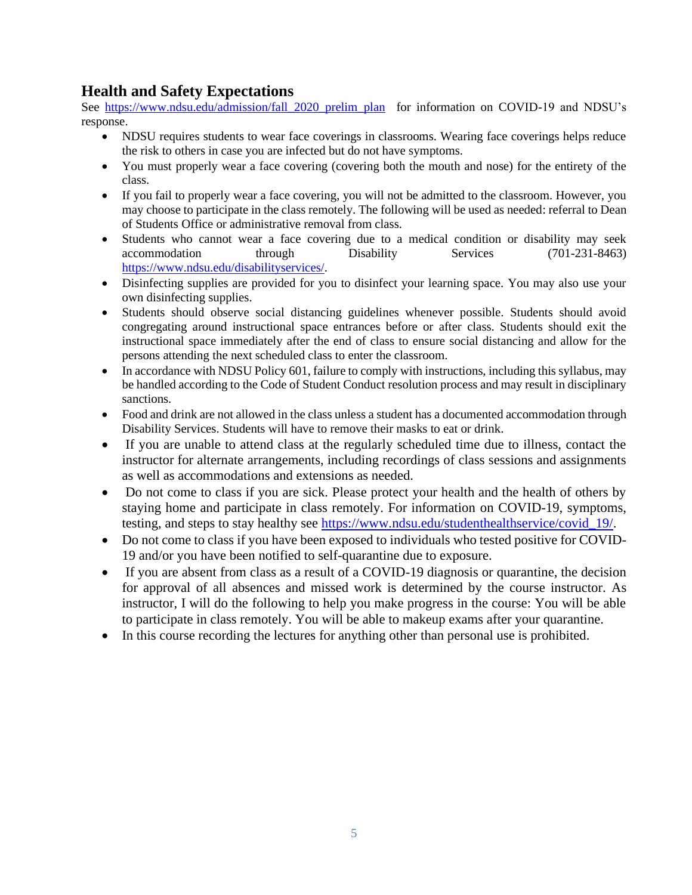## **Health and Safety Expectations**

See [https://www.ndsu.edu/admission/fall\\_2020\\_prelim\\_plan](https://www.ndsu.edu/admission/fall_2020_prelim_plan) for information on COVID-19 and NDSU's response.

- NDSU requires students to wear face coverings in classrooms. Wearing face coverings helps reduce the risk to others in case you are infected but do not have symptoms.
- You must properly wear a face covering (covering both the mouth and nose) for the entirety of the class.
- If you fail to properly wear a face covering, you will not be admitted to the classroom. However, you may choose to participate in the class remotely. The following will be used as needed: referral to Dean of Students Office or administrative removal from class.
- Students who cannot wear a face covering due to a medical condition or disability may seek accommodation through Disability Services (701-231-8463) [https://www.ndsu.edu/disabilityservices/.](https://www.ndsu.edu/disabilityservices/)
- Disinfecting supplies are provided for you to disinfect your learning space. You may also use your own disinfecting supplies.
- Students should observe social distancing guidelines whenever possible. Students should avoid congregating around instructional space entrances before or after class. Students should exit the instructional space immediately after the end of class to ensure social distancing and allow for the persons attending the next scheduled class to enter the classroom.
- In accordance with NDSU Policy 601, failure to comply with instructions, including this syllabus, may be handled according to the Code of Student Conduct resolution process and may result in disciplinary sanctions.
- Food and drink are not allowed in the class unless a student has a documented accommodation through Disability Services. Students will have to remove their masks to eat or drink.
- If you are unable to attend class at the regularly scheduled time due to illness, contact the instructor for alternate arrangements, including recordings of class sessions and assignments as well as accommodations and extensions as needed.
- Do not come to class if you are sick. Please protect your health and the health of others by staying home and participate in class remotely. For information on COVID-19, symptoms, testing, and steps to stay healthy see [https://www.ndsu.edu/studenthealthservice/covid\\_19/.](https://www.ndsu.edu/studenthealthservice/covid_19/)
- Do not come to class if you have been exposed to individuals who tested positive for COVID-19 and/or you have been notified to self-quarantine due to exposure.
- If you are absent from class as a result of a COVID-19 diagnosis or quarantine, the decision for approval of all absences and missed work is determined by the course instructor. As instructor, I will do the following to help you make progress in the course: You will be able to participate in class remotely. You will be able to makeup exams after your quarantine.
- In this course recording the lectures for anything other than personal use is prohibited.